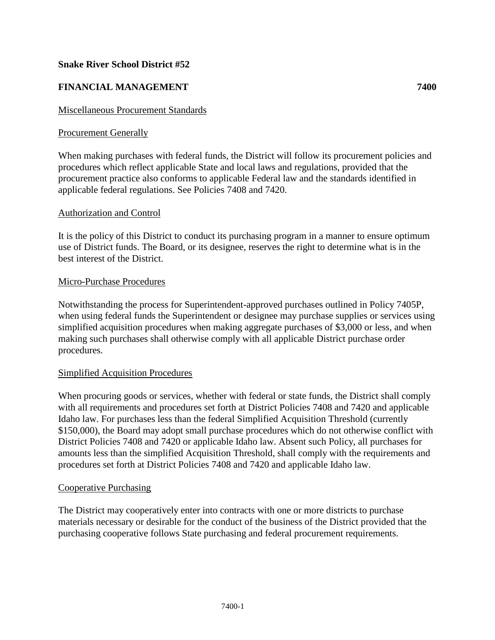## **Snake River School District #52**

# **FINANCIAL MANAGEMENT 7400**

### Miscellaneous Procurement Standards

### Procurement Generally

When making purchases with federal funds, the District will follow its procurement policies and procedures which reflect applicable State and local laws and regulations, provided that the procurement practice also conforms to applicable Federal law and the standards identified in applicable federal regulations. See Policies 7408 and 7420.

### Authorization and Control

It is the policy of this District to conduct its purchasing program in a manner to ensure optimum use of District funds. The Board, or its designee, reserves the right to determine what is in the best interest of the District.

### Micro-Purchase Procedures

Notwithstanding the process for Superintendent-approved purchases outlined in Policy 7405P, when using federal funds the Superintendent or designee may purchase supplies or services using simplified acquisition procedures when making aggregate purchases of \$3,000 or less, and when making such purchases shall otherwise comply with all applicable District purchase order procedures.

### Simplified Acquisition Procedures

When procuring goods or services, whether with federal or state funds, the District shall comply with all requirements and procedures set forth at District Policies 7408 and 7420 and applicable Idaho law. For purchases less than the federal Simplified Acquisition Threshold (currently \$150,000), the Board may adopt small purchase procedures which do not otherwise conflict with District Policies 7408 and 7420 or applicable Idaho law. Absent such Policy, all purchases for amounts less than the simplified Acquisition Threshold, shall comply with the requirements and procedures set forth at District Policies 7408 and 7420 and applicable Idaho law.

#### Cooperative Purchasing

The District may cooperatively enter into contracts with one or more districts to purchase materials necessary or desirable for the conduct of the business of the District provided that the purchasing cooperative follows State purchasing and federal procurement requirements.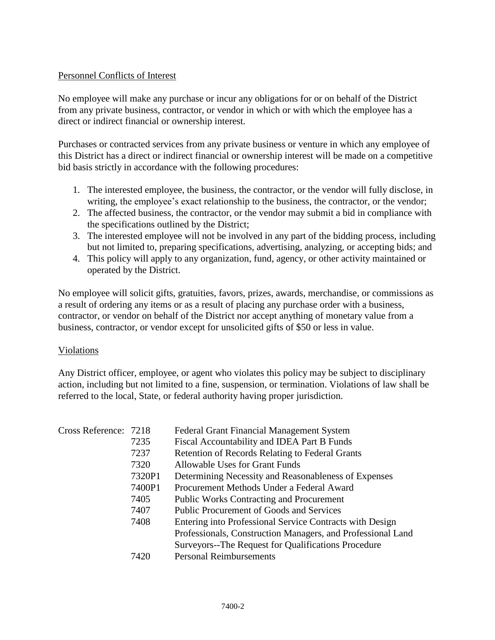## Personnel Conflicts of Interest

No employee will make any purchase or incur any obligations for or on behalf of the District from any private business, contractor, or vendor in which or with which the employee has a direct or indirect financial or ownership interest.

Purchases or contracted services from any private business or venture in which any employee of this District has a direct or indirect financial or ownership interest will be made on a competitive bid basis strictly in accordance with the following procedures:

- 1. The interested employee, the business, the contractor, or the vendor will fully disclose, in writing, the employee's exact relationship to the business, the contractor, or the vendor;
- 2. The affected business, the contractor, or the vendor may submit a bid in compliance with the specifications outlined by the District;
- 3. The interested employee will not be involved in any part of the bidding process, including but not limited to, preparing specifications, advertising, analyzing, or accepting bids; and
- 4. This policy will apply to any organization, fund, agency, or other activity maintained or operated by the District.

No employee will solicit gifts, gratuities, favors, prizes, awards, merchandise, or commissions as a result of ordering any items or as a result of placing any purchase order with a business, contractor, or vendor on behalf of the District nor accept anything of monetary value from a business, contractor, or vendor except for unsolicited gifts of \$50 or less in value.

## Violations

Any District officer, employee, or agent who violates this policy may be subject to disciplinary action, including but not limited to a fine, suspension, or termination. Violations of law shall be referred to the local, State, or federal authority having proper jurisdiction.

| Cross Reference: 7218 |        | <b>Federal Grant Financial Management System</b>            |
|-----------------------|--------|-------------------------------------------------------------|
|                       | 7235   | Fiscal Accountability and IDEA Part B Funds                 |
|                       | 7237   | Retention of Records Relating to Federal Grants             |
|                       | 7320   | <b>Allowable Uses for Grant Funds</b>                       |
|                       | 7320P1 | Determining Necessity and Reasonableness of Expenses        |
|                       | 7400P1 | Procurement Methods Under a Federal Award                   |
|                       | 7405   | <b>Public Works Contracting and Procurement</b>             |
|                       | 7407   | <b>Public Procurement of Goods and Services</b>             |
|                       | 7408   | Entering into Professional Service Contracts with Design    |
|                       |        | Professionals, Construction Managers, and Professional Land |
|                       |        | Surveyors--The Request for Qualifications Procedure         |
|                       | 7420   | <b>Personal Reimbursements</b>                              |